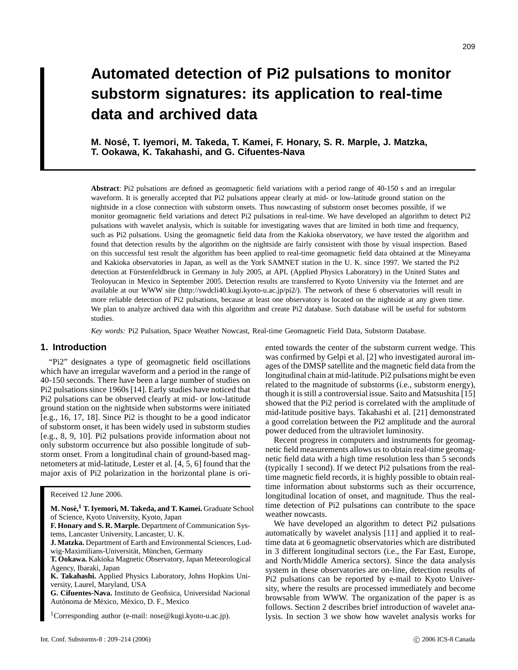# **Automated detection of Pi2 pulsations to monitor substorm signatures: its application to real-time data and archived data**

**M. Nose, T. Iyemori, M. Takeda, T. Kamei, F. Honary, S. R. Marple, J. ´ Matzka, T. Ookawa, K. Takahashi, and G. Cifuentes-Nava**

**Abstract**: Pi2 pulsations are defined as geomagnetic field variations with a period range of 40-150 s and an irregular waveform. It is generally accepted that Pi2 pulsations appear clearly at mid- or low-latitude ground station on the nightside in a close connection with substorm onsets. Thus nowcasting of substorm onset becomes possible, if we monitor geomagnetic field variations and detect Pi2 pulsations in real-time. We have developed an algorithm to detect Pi2 pulsations with wavelet analysis, which is suitable for investigating waves that are limited in both time and frequency, such as Pi2 pulsations. Using the geomagnetic field data from the Kakioka observatory, we have tested the algorithm and found that detection results by the algorithm on the nightside are fairly consistent with those by visual inspection. Based on this successful test result the algorithm has been applied to real-time geomagnetic field data obtained at the Mineyama and Kakioka observatories in Japan, as well as the York SAMNET station in the U. K. since 1997. We started the Pi2 detection at Fürstenfeldbruck in Germany in July 2005, at APL (Applied Physics Laboratory) in the United States and Teoloyucan in Mexico in September 2005. Detection results are transferred to Kyoto University via the Internet and are available at our WWW site (http://swdcli40.kugi.kyoto-u.ac.jp/pi2/). The network of these 6 observatories will result in more reliable detection of Pi2 pulsations, because at least one observatory is located on the nightside at any given time. We plan to analyze archived data with this algorithm and create Pi2 database. Such database will be useful for substorm studies.

*Key words:* Pi2 Pulsation, Space Weather Nowcast, Real-time Geomagnetic Field Data, Substorm Database.

# **1. Introduction**

"Pi2" designates a type of geomagnetic field oscillations which have an irregular waveform and a period in the range of 40-150 seconds. There have been a large number of studies on Pi2 pulsations since 1960s [14]. Early studies have noticed that Pi2 pulsations can be observed clearly at mid- or low-latitude ground station on the nightside when substorms were initiated [e.g., 16, 17, 18]. Since Pi2 is thought to be a good indicator of substorm onset, it has been widely used in substorm studies [e.g., 8, 9, 10]. Pi2 pulsations provide information about not only substorm occurrence but also possible longitude of substorm onset. From a longitudinal chain of ground-based magnetometers at mid-latitude, Lester et al. [4, 5, 6] found that the major axis of Pi2 polarization in the horizontal plane is ori-

Received 12 June 2006.

ented towards the center of the substorm current wedge. This was confirmed by Gelpi et al. [2] who investigated auroral images of the DMSP satellite and the magnetic field data from the longitudinal chain at mid-latitude. Pi2 pulsations might be even related to the magnitude of substorms (i.e., substorm energy), though it is still a controversial issue. Saito and Matsushita [15] showed that the Pi2 period is correlated with the amplitude of mid-latitude positive bays. Takahashi et al. [21] demonstrated a good correlation between the Pi2 amplitude and the auroral power deduced from the ultraviolet luminosity.

Recent progress in computers and instruments for geomagnetic field measurements allows us to obtain real-time geomagnetic field data with a high time resolution less than 5 seconds (typically 1 second). If we detect Pi2 pulsations from the realtime magnetic field records, it is highly possible to obtain realtime information about substorms such as their occurrence, longitudinal location of onset, and magnitude. Thus the realtime detection of Pi2 pulsations can contribute to the space weather nowcasts.

We have developed an algorithm to detect Pi2 pulsations automatically by wavelet analysis [11] and applied it to realtime data at 6 geomagnetic observatories which are distributed in 3 different longitudinal sectors (i.e., the Far East, Europe, and North/Middle America sectors). Since the data analysis system in these observatories are on-line, detection results of Pi2 pulsations can be reported by e-mail to Kyoto University, where the results are processed immediately and become browsable from WWW. The organization of the paper is as follows. Section 2 describes brief introduction of wavelet analysis. In section 3 we show how wavelet analysis works for

**M. Nose,´ <sup>1</sup> T. Iyemori, M. Takeda, and T. Kamei.** Graduate School of Science, Kyoto University, Kyoto, Japan

**F. Honary and S. R. Marple.** Department of Communication Systems, Lancaster University, Lancaster, U. K.

**J. Matzka.** Department of Earth and Environmental Sciences, Ludwig-Maximilians-Universität, München, Germany

**T. Ookawa.** Kakioka Magnetic Observatory, Japan Meteorological Agency, Ibaraki, Japan

**K. Takahashi.** Applied Physics Laboratory, Johns Hopkins University, Laurel, Maryland, USA

**G. Cifuentes-Nava.** Instituto de Geofisica, Universidad Nacional Autónoma de México, México, D. F., Mexico

<sup>&</sup>lt;sup>1</sup>Corresponding author (e-mail: nose@kugi.kyoto-u.ac.jp).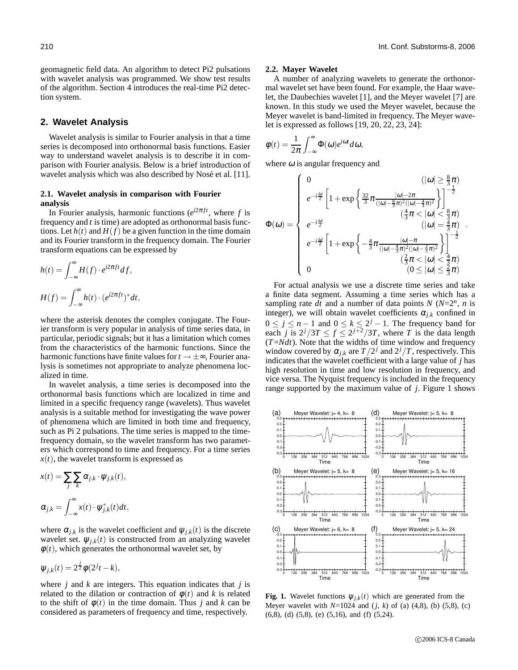geomagnetic field data. An algorithm to detect Pi2 pulsations with wavelet analysis was programmed. We show test results of the algorithm. Section 4 introduces the real-time Pi2 detection system.

# **2. Wavelet Analysis**

Wavelet analysis is similar to Fourier analysis in that a time series is decomposed into orthonormal basis functions. Easier way to understand wavelet analysis is to describe it in comparison with Fourier analysis. Below is a brief introduction of wavelet analysis which was also described by Nosé et al. [11].

## **2.1. Wavelet analysis in comparison with Fourier analysis**

In Fourier analysis, harmonic functions  $(e^{i2\pi ft})$ , where f is frequency and *t* is time) are adopted as orthonormal basis functions. Let  $h(t)$  and  $H(f)$  be a given function in the time domain and its Fourier transform in the frequency domain. The Fourier transform equations can be expressed by

$$
h(t) = \int_{-\infty}^{\infty} H(f) \cdot e^{i2\pi ft} df,
$$
  

$$
H(f) = \int_{-\infty}^{\infty} h(t) \cdot (e^{i2\pi ft})^* dt,
$$

where the asterisk denotes the complex conjugate. The Fourier transform is very popular in analysis of time series data, in particular, periodic signals; but it has a limitation which comes from the characteristics of the harmonic functions. Since the harmonic functions have finite values for  $t \to \pm \infty$ , Fourier analysis is sometimes not appropriate to analyze phenomena localized in time.

In wavelet analysis, a time series is decomposed into the orthonormal basis functions which are localized in time and limited in a specific frequency range (wavelets). Thus wavelet analysis is a suitable method for investigating the wave power of phenomena which are limited in both time and frequency, such as Pi 2 pulsations. The time series is mapped to the timefrequency domain, so the wavelet transform has two parameters which correspond to time and frequency. For a time series  $x(t)$ , the wavelet transform is expressed as

$$
x(t) = \sum_{j} \sum_{k} \alpha_{j,k} \cdot \psi_{j,k}(t),
$$
  

$$
\alpha_{j,k} = \int_{-\infty}^{\infty} x(t) \cdot \psi_{j,k}^{*}(t) dt,
$$

where  $\alpha_{j,k}$  is the wavelet coefficient and  $\psi_{j,k}(t)$  is the discrete wavelet set.  $\psi_{j,k}(t)$  is constructed from an analyzing wavelet  $\phi(t)$ , which generates the orthonormal wavelet set, by

$$
\psi_{j,k}(t) = 2^{\frac{j}{2}}\phi(2^j t - k),
$$

where *j* and *k* are integers. This equation indicates that *j* is related to the dilation or contraction of  $\phi(t)$  and k is related to the shift of  $\phi(t)$  in the time domain. Thus *j* and *k* can be considered as parameters of frequency and time, respectively.

#### **2.2. Mayer Wavelet**

A number of analyzing wavelets to generate the orthonormal wavelet set have been found. For example, the Haar wavelet, the Daubechies wavelet [1], and the Meyer wavelet [7] are known. In this study we used the Meyer wavelet, because the Meyer wavelet is band-limited in frequency. The Meyer wavelet is expressed as follows [19, 20, 22, 23, 24]:

$$
\phi(t) = \frac{1}{2\pi} \int_{-\infty}^{\infty} \Phi(\omega) e^{i\omega t} d\omega,
$$

where  $\omega$  is angular frequency and

$$
\Phi(\omega) = \begin{cases}\n0 & (\vert \omega \vert \geq \frac{8}{3}\pi) \\
e^{-i\frac{\omega}{2}} \left[1 + \exp\left\{\frac{32}{3}\pi \frac{\vert \omega \vert - 2\pi}{(\vert \omega \vert - \frac{8}{3}\pi)^2 (\vert \omega \vert - \frac{4}{3}\pi)^2}\right\}\right]^{-\frac{1}{2}} \\
e^{-i\frac{\omega}{2}} & \frac{4}{3}\pi & (\vert \omega \vert < \frac{8}{3}\pi) \\
e^{-i\frac{\omega}{2}} \left[1 + \exp\left\{-\frac{4}{3}\pi \frac{\vert \omega \vert - \pi}{(\vert \omega \vert - \frac{4}{3}\pi)^2 (\vert \omega \vert - \frac{2}{3}\pi)^2}\right\}\right]^{-\frac{1}{2}} \\
0 & \frac{2}{3}\pi & (\vert \omega \vert < \frac{2}{3}\pi)\n\end{cases}
$$

For actual analysis we use a discrete time series and take a finite data segment. Assuming a time series which has a sampling rate  $dt$  and a number of data points *N* ( $N=2^n$ , *n* is integer), we will obtain wavelet coefficients  $\alpha_{i,k}$  confined in  $0 \le j \le n-1$  and  $0 \le k \le 2^j-1$ . The frequency band for each *j* is  $2^{j}/3T \le f \le 2^{j+2}/3T$ , where *T* is the data length (*T*=*Ndt*). Note that the widths of time window and frequency window covered by  $\alpha_{j,k}$  are  $T/2^j$  and  $2^j/T$ , respectively. This indicates that the wavelet coefficient with a large value of *j* has high resolution in time and low resolution in frequency, and vice versa. The Nyquist frequency is included in the frequency range supported by the maximum value of *j*. Figure 1 shows



**Fig. 1.** Wavelet functions  $\psi_{j,k}(t)$  which are generated from the Meyer wavelet with  $N=1024$  and  $(j, k)$  of (a)  $(4, 8)$ , (b)  $(5, 8)$ , (c) (6,8), (d) (5,8), (e) (5,16), and (f) (5,24).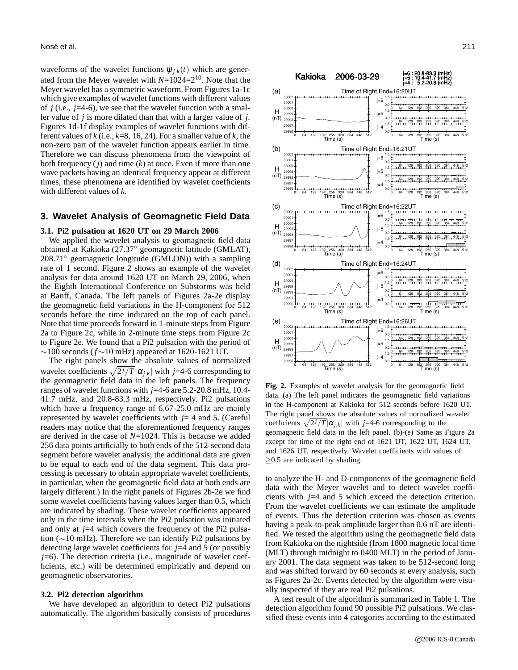waveforms of the wavelet functions  $\psi_{j,k}(t)$  which are generated from the Meyer wavelet with *N*=1024=210. Note that the Meyer wavelet has a symmetric waveform. From Figures 1a-1c which give examples of wavelet functions with different values of *j* (i.e., *j*=4-6), we see that the wavelet function with a smaller value of *j* is more dilated than that with a larger value of *j*. Figures 1d-1f display examples of wavelet functions with different values of *k* (i.e., *k*=8, 16, 24). For a smaller value of *k*, the non-zero part of the wavelet function appears earlier in time. Therefore we can discuss phenomena from the viewpoint of both frequency (*j*) and time (*k*) at once. Even if more than one wave packets having an identical frequency appear at different times, these phenomena are identified by wavelet coefficients with different values of *k*.

## **3. Wavelet Analysis of Geomagnetic Field Data**

#### **3.1. Pi2 pulsation at 1620 UT on 29 March 2006**

We applied the wavelet analysis to geomagnetic field data obtained at Kakioka (27.37◦ geomagnetic latitude (GMLAT), 208.71◦ geomagnetic longitude (GMLON)) with a sampling rate of 1 second. Figure 2 shows an example of the wavelet analysis for data around 1620 UT on March 29, 2006, when the Eighth International Conference on Substorms was held at Banff, Canada. The left panels of Figures 2a-2e display the geomagnetic field variations in the H-component for 512 seconds before the time indicated on the top of each panel. Note that time proceeds forward in 1-minute steps from Figure 2a to Figure 2c, while in 2-minute time steps from Figure 2c to Figure 2e. We found that a Pi2 pulsation with the period of ∼100 seconds (*f*∼10 mHz) appeared at 1620-1621 UT.

The right panels show the absolute values of normalized wavelet coefficients  $\sqrt{2^j/T} |\alpha_{j,k}|$  with *j*=4-6 corresponding to the geomagnetic field data in the left panels. The frequency ranges of wavelet functions with *j*=4-6 are 5.2-20.8 mHz, 10.4- 41.7 mHz, and 20.8-83.3 mHz, respectively. Pi2 pulsations which have a frequency range of 6.67-25.0 mHz are mainly represented by wavelet coefficients with *j*= 4 and 5. (Careful readers may notice that the aforementioned frequency ranges are derived in the case of *N*=1024. This is because we added 256 data points artificially to both ends of the 512-second data segment before wavelet analysis; the additional data are given to be equal to each end of the data segment. This data processing is necessary to obtain appropriate wavelet coefficients, in particular, when the geomagnetic field data at both ends are largely different.) In the right panels of Figures 2b-2e we find some wavelet coefficients having values larger than 0.5, which are indicated by shading. These wavelet coefficients appeared only in the time intervals when the Pi2 pulsation was initiated and only at *j*=4 which covers the frequency of the Pi2 pulsation (∼10 mHz). Therefore we can identify Pi2 pulsations by detecting large wavelet coefficients for *j*=4 and 5 (or possibly *j*=6). The detection criteria (i.e., magnitude of wavelet coefficients, etc.) will be determined empirically and depend on geomagnetic observatories.

#### **3.2. Pi2 detection algorithm**

We have developed an algorithm to detect Pi2 pulsations automatically. The algorithm basically consists of procedures



**Fig. 2.** Examples of wavelet analysis for the geomagnetic field data. (a) The left panel indicates the geomagnetic field variations in the H-component at Kakioka for 512 seconds before 1620 UT. The right panel shows the absolute values of normalized wavelet coefficients  $\sqrt{2^j/T} |\alpha_{j,k}|$  with *j*=4-6 corresponding to the geomagnetic field data in the left panel. (b)-(e) Same as Figure 2a except for time of the right end of 1621 UT, 1622 UT, 1624 UT, and 1626 UT, respectively. Wavelet coefficients with values of ≥0.5 are indicated by shading.

to analyze the H- and D-components of the geomagnetic field data with the Meyer wavelet and to detect wavelet coefficients with *j*=4 and 5 which exceed the detection criterion. From the wavelet coefficients we can estimate the amplitude of events. Thus the detection criterion was chosen as events having a peak-to-peak amplitude larger than 0.6 nT are identified. We tested the algorithm using the geomagnetic field data from Kakioka on the nightside (from 1800 magnetic local time (MLT) through midnight to 0400 MLT) in the period of January 2001. The data segment was taken to be 512-second long and was shifted forward by 60 seconds at every analysis, such as Figures 2a-2c. Events detected by the algorithm were visually inspected if they are real Pi2 pulsations.

A test result of the algorithm is summarized in Table 1. The detection algorithm found 90 possible Pi2 pulsations. We classified these events into 4 categories according to the estimated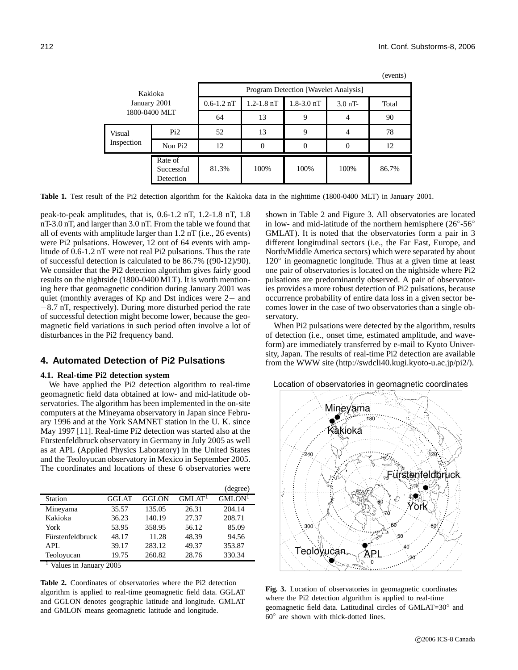| Kakioka<br>January 2001<br>1800-0400 MLT |                                    | Program Detection [Wavelet Analysis] |                |                |           |       |  |
|------------------------------------------|------------------------------------|--------------------------------------|----------------|----------------|-----------|-------|--|
|                                          |                                    | $0.6 - 1.2$ nT                       | $1.2 - 1.8$ nT | $1.8 - 3.0$ nT | $3.0$ nT- | Total |  |
|                                          |                                    | 64                                   | 13             | 9              |           | 90    |  |
| Visual<br>Inspection                     | Pi2                                | 52                                   | 13             | 9              |           | 78    |  |
|                                          | Non Pi <sub>2</sub>                | 12                                   | 0              |                |           | 12    |  |
|                                          | Rate of<br>Successful<br>Detection | 81.3%                                | 100%           | 100%           | 100%      | 86.7% |  |

(events)

**Table 1.** Test result of the Pi2 detection algorithm for the Kakioka data in the nighttime (1800-0400 MLT) in January 2001.

peak-to-peak amplitudes, that is, 0.6-1.2 nT, 1.2-1.8 nT, 1.8 nT-3.0 nT, and larger than 3.0 nT. From the table we found that all of events with amplitude larger than 1.2 nT (i.e., 26 events) were Pi2 pulsations. However, 12 out of 64 events with amplitude of 0.6-1.2 nT were not real Pi2 pulsations. Thus the rate of successful detection is calculated to be 86.7% ((90-12)/90). We consider that the Pi2 detection algorithm gives fairly good results on the nightside (1800-0400 MLT). It is worth mentioning here that geomagnetic condition during January 2001 was quiet (monthly averages of Kp and Dst indices were 2− and −8.7 nT, respectively). During more disturbed period the rate of successful detection might become lower, because the geomagnetic field variations in such period often involve a lot of disturbances in the Pi2 frequency band.

# **4. Automated Detection of Pi2 Pulsations**

## **4.1. Real-time Pi2 detection system**

We have applied the Pi2 detection algorithm to real-time geomagnetic field data obtained at low- and mid-latitude observatories. The algorithm has been implemented in the on-site computers at the Mineyama observatory in Japan since February 1996 and at the York SAMNET station in the U. K. since May 1997 [11]. Real-time Pi2 detection was started also at the Fürstenfeldbruck observatory in Germany in July 2005 as well as at APL (Applied Physics Laboratory) in the United States and the Teoloyucan observatory in Mexico in September 2005. The coordinates and locations of these 6 observatories were

|                  |       |              |                     | (degree)           |
|------------------|-------|--------------|---------------------|--------------------|
| Station          | GGLAT | <b>GGLON</b> | GMI.AT <sup>1</sup> | GMLON <sup>1</sup> |
| Mineyama         | 35.57 | 135.05       | 26.31               | 204.14             |
| Kakioka          | 36.23 | 140.19       | 27.37               | 208.71             |
| York             | 53.95 | 358.95       | 56.12               | 85.09              |
| Fürstenfeldbruck | 48.17 | 11.28        | 48.39               | 94.56              |
| APL              | 39.17 | 283.12       | 49.37               | 353.87             |
| Teoloyucan       | 19.75 | 260.82       | 28.76               | 330.34             |

<sup>1</sup> Values in January 2005

**Table 2.** Coordinates of observatories where the Pi2 detection algorithm is applied to real-time geomagnetic field data. GGLAT and GGLON denotes geographic latitude and longitude. GMLAT and GMLON means geomagnetic latitude and longitude.

shown in Table 2 and Figure 3. All observatories are located in low- and mid-latitude of the northern hemisphere ( $26° - 56°$ GMLAT). It is noted that the observatories form a pair in 3 different longitudinal sectors (i.e., the Far East, Europe, and North/Middle America sectors) which were separated by about 120° in geomagnetic longitude. Thus at a given time at least one pair of observatories is located on the nightside where Pi2 pulsations are predominantly observed. A pair of observatories provides a more robust detection of Pi2 pulsations, because occurrence probability of entire data loss in a given sector becomes lower in the case of two observatories than a single observatory.

When Pi2 pulsations were detected by the algorithm, results of detection (i.e., onset time, estimated amplitude, and waveform) are immediately transferred by e-mail to Kyoto University, Japan. The results of real-time Pi2 detection are available from the WWW site (http://swdcli40.kugi.kyoto-u.ac.jp/pi2/).





**Fig. 3.** Location of observatories in geomagnetic coordinates where the Pi2 detection algorithm is applied to real-time geomagnetic field data. Latitudinal circles of GMLAT=30° and 60◦ are shown with thick-dotted lines.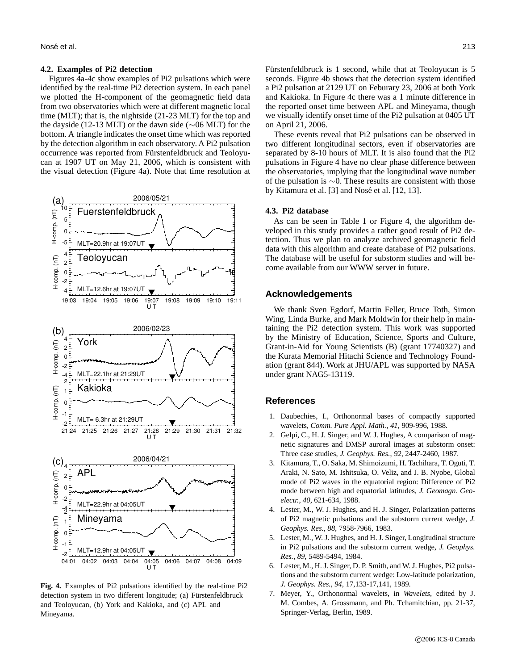#### **4.2. Examples of Pi2 detection**

Figures 4a-4c show examples of Pi2 pulsations which were identified by the real-time Pi2 detection system. In each panel we plotted the H-component of the geomagnetic field data from two observatories which were at different magnetic local time (MLT); that is, the nightside (21-23 MLT) for the top and the dayside (12-13 MLT) or the dawn side (∼06 MLT) for the bottom. A triangle indicates the onset time which was reported by the detection algorithm in each observatory. A Pi2 pulsation occurrence was reported from Fürstenfeldbruck and Teoloyucan at 1907 UT on May 21, 2006, which is consistent with the visual detection (Figure 4a). Note that time resolution at



**Fig. 4.** Examples of Pi2 pulsations identified by the real-time Pi2 detection system in two different longitude; (a) Fürstenfeldbruck and Teoloyucan, (b) York and Kakioka, and (c) APL and Mineyama.

Fürstenfeldbruck is 1 second, while that at Teoloyucan is 5 seconds. Figure 4b shows that the detection system identified a Pi2 pulsation at 2129 UT on Feburary 23, 2006 at both York and Kakioka. In Figure 4c there was a 1 minute difference in the reported onset time between APL and Mineyama, though we visually identify onset time of the Pi2 pulsation at 0405 UT on April 21, 2006.

These events reveal that Pi2 pulsations can be observed in two different longitudinal sectors, even if observatories are separated by 8-10 hours of MLT. It is also found that the Pi2 pulsations in Figure 4 have no clear phase difference between the observatories, implying that the longitudinal wave number of the pulsation is ∼0. These results are consistent with those by Kitamura et al. [3] and Nosé et al. [12, 13].

## **4.3. Pi2 database**

As can be seen in Table 1 or Figure 4, the algorithm developed in this study provides a rather good result of Pi2 detection. Thus we plan to analyze archived geomagnetic field data with this algorithm and create database of Pi2 pulsations. The database will be useful for substorm studies and will become available from our WWW server in future.

## **Acknowledgements**

We thank Sven Egdorf, Martin Feller, Bruce Toth, Simon Wing, Linda Burke, and Mark Moldwin for their help in maintaining the Pi2 detection system. This work was supported by the Ministry of Education, Science, Sports and Culture, Grant-in-Aid for Young Scientists (B) (grant 17740327) and the Kurata Memorial Hitachi Science and Technology Foundation (grant 844). Work at JHU/APL was supported by NASA under grant NAG5-13119.

# **References**

- 1. Daubechies, I., Orthonormal bases of compactly supported wavelets, *Comm. Pure Appl. Math.*, *41*, 909-996, 1988.
- 2. Gelpi, C., H. J. Singer, and W. J. Hughes, A comparison of magnetic signatures and DMSP auroral images at substorm onset: Three case studies, *J. Geophys. Res.*, *92*, 2447-2460, 1987.
- 3. Kitamura, T., O. Saka, M. Shimoizumi, H. Tachihara, T. Oguti, T. Araki, N. Sato, M. Ishitsuka, O. Veliz, and J. B. Nyobe, Global mode of Pi2 waves in the equatorial region: Difference of Pi2 mode between high and equatorial latitudes, *J. Geomagn. Geoelectr.*, *40*, 621-634, 1988.
- 4. Lester, M., W. J. Hughes, and H. J. Singer, Polarization patterns of Pi2 magnetic pulsations and the substorm current wedge, *J. Geophys. Res.*, *88*, 7958-7966, 1983.
- 5. Lester, M., W. J. Hughes, and H. J. Singer, Longitudinal structure in Pi2 pulsations and the substorm current wedge, *J. Geophys. Res.*, *89*, 5489-5494, 1984.
- 6. Lester, M., H. J. Singer, D. P. Smith, and W. J. Hughes, Pi2 pulsations and the substorm current wedge: Low-latitude polarization, *J. Geophys. Res.*, *94*, 17,133-17,141, 1989.
- 7. Meyer, Y., Orthonormal wavelets, in *Wavelets*, edited by J. M. Combes, A. Grossmann, and Ph. Tchamitchian, pp. 21-37, Springer-Verlag, Berlin, 1989.